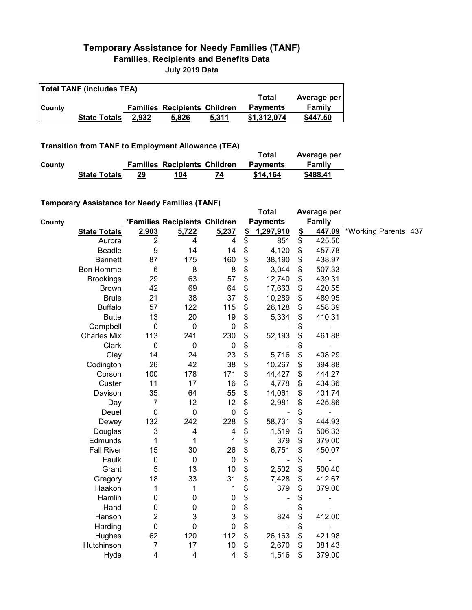## **Temporary Assistance for Needy Families (TANF) Families, Recipients and Benefits Data July 2019 Data**

| <b>Total TANF (includes TEA)</b> |                     |       |                                     |       |                 |             |  |  |
|----------------------------------|---------------------|-------|-------------------------------------|-------|-----------------|-------------|--|--|
|                                  |                     |       |                                     |       | Total           | Average per |  |  |
| <b>County</b>                    |                     |       | <b>Families Recipients Children</b> |       | <b>Payments</b> | Family      |  |  |
|                                  | <b>State Totals</b> | 2.932 | 5.826                               | 5.311 | \$1,312,074     | \$447.50    |  |  |

**Transition from TANF to Employment Allowance (TEA)**

|        | <b>ITAIISIUVII IIVIII TANT LO EIIIPIOVIIIEIIL AIIUWAIICE (TEA)</b> |    |                                     |    | Total           | Average per |
|--------|--------------------------------------------------------------------|----|-------------------------------------|----|-----------------|-------------|
| County |                                                                    |    | <b>Families Recipients Children</b> |    | <b>Payments</b> | Family      |
|        | <b>State Totals</b>                                                | 29 | 104                                 | 74 | \$14.164        | \$488.41    |

## **Temporary Assistance for Needy Families (TANF)**

|        | $1$ chiporary Assistance for Needy Families (TANT) |                           |                               |                         |               | <b>Total</b>    |                           | Average per |                      |  |
|--------|----------------------------------------------------|---------------------------|-------------------------------|-------------------------|---------------|-----------------|---------------------------|-------------|----------------------|--|
| County |                                                    |                           | *Families Recipients Children |                         |               | <b>Payments</b> |                           | Family      |                      |  |
|        | <b>State Totals</b>                                | 2,903                     | 5,722                         | 5,237                   | $\frac{2}{3}$ | 1,297,910       | $\mathbf{\underline{\$}}$ | 447.09      | *Working Parents 437 |  |
|        | Aurora                                             | $\boldsymbol{2}$          | 4                             | 4                       | \$            | 851             | \$                        | 425.50      |                      |  |
|        | Beadle                                             | 9                         | 14                            | 14                      | \$            | 4,120           | \$                        | 457.78      |                      |  |
|        | <b>Bennett</b>                                     | 87                        | 175                           | 160                     | \$            | 38,190          | \$                        | 438.97      |                      |  |
|        | <b>Bon Homme</b>                                   | $\,6$                     | 8                             | 8                       | \$            | 3,044           | \$                        | 507.33      |                      |  |
|        | <b>Brookings</b>                                   | 29                        | 63                            | 57                      | \$            | 12,740          | \$                        | 439.31      |                      |  |
|        | <b>Brown</b>                                       | 42                        | 69                            | 64                      | \$            | 17,663          | \$                        | 420.55      |                      |  |
|        | <b>Brule</b>                                       | 21                        | 38                            | 37                      | \$            | 10,289          | \$                        | 489.95      |                      |  |
|        | <b>Buffalo</b>                                     | 57                        | 122                           | 115                     | \$            | 26,128          | \$                        | 458.39      |                      |  |
|        | <b>Butte</b>                                       | 13                        | 20                            | 19                      | \$            | 5,334           | \$                        | 410.31      |                      |  |
|        | Campbell                                           | $\mathbf 0$               | $\pmb{0}$                     | $\pmb{0}$               | \$            |                 | \$                        |             |                      |  |
|        | <b>Charles Mix</b>                                 | 113                       | 241                           | 230                     | \$            | 52,193          | \$                        | 461.88      |                      |  |
|        | Clark                                              | $\mathbf 0$               | $\pmb{0}$                     | $\mathbf 0$             | \$            |                 | \$                        |             |                      |  |
|        | Clay                                               | 14                        | 24                            | 23                      | \$            | 5,716           | \$                        | 408.29      |                      |  |
|        | Codington                                          | 26                        | 42                            | 38                      | \$            | 10,267          | \$                        | 394.88      |                      |  |
|        | Corson                                             | 100                       | 178                           | 171                     | \$            | 44,427          | \$                        | 444.27      |                      |  |
|        | Custer                                             | 11                        | 17                            | 16                      | \$            | 4,778           | \$                        | 434.36      |                      |  |
|        | Davison                                            | 35                        | 64                            | 55                      | \$            | 14,061          | \$                        | 401.74      |                      |  |
|        | Day                                                | $\boldsymbol{7}$          | 12                            | 12                      | \$            | 2,981           | \$                        | 425.86      |                      |  |
|        | Deuel                                              | $\mathbf 0$               | $\mathbf 0$                   | $\pmb{0}$               | \$            |                 | \$                        |             |                      |  |
|        | Dewey                                              | 132                       | 242                           | 228                     | \$            | 58,731          | \$                        | 444.93      |                      |  |
|        | Douglas                                            | $\ensuremath{\mathsf{3}}$ | $\overline{\mathbf{4}}$       | 4                       | \$            | 1,519           | \$                        | 506.33      |                      |  |
|        | Edmunds                                            | 1                         | 1                             | 1                       | \$            | 379             | \$                        | 379.00      |                      |  |
|        | <b>Fall River</b>                                  | 15                        | 30                            | 26                      | \$            | 6,751           | \$                        | 450.07      |                      |  |
|        | Faulk                                              | $\pmb{0}$                 | $\mathbf 0$                   | $\pmb{0}$               | \$            | ٠               | \$                        |             |                      |  |
|        | Grant                                              | 5                         | 13                            | 10                      | \$            | 2,502           | \$                        | 500.40      |                      |  |
|        | Gregory                                            | 18                        | 33                            | 31                      | \$            | 7,428           | \$                        | 412.67      |                      |  |
|        | Haakon                                             | 1                         | 1                             | 1                       | \$            | 379             | \$                        | 379.00      |                      |  |
|        | Hamlin                                             | 0                         | $\pmb{0}$                     | $\pmb{0}$               | \$            |                 | \$                        |             |                      |  |
|        | Hand                                               | 0                         | $\pmb{0}$                     | $\pmb{0}$               | \$            |                 | \$                        |             |                      |  |
|        | Hanson                                             | 2                         | 3                             | 3                       | \$            | 824             | \$                        | 412.00      |                      |  |
|        | Harding                                            | $\mathbf 0$               | $\mathbf 0$                   | $\pmb{0}$               | \$            | $\blacksquare$  | \$                        | ÷           |                      |  |
|        | Hughes                                             | 62                        | 120                           | 112                     | \$            | 26,163          | \$                        | 421.98      |                      |  |
|        | Hutchinson                                         | $\overline{7}$            | 17                            | 10                      | \$            | 2,670           | \$                        | 381.43      |                      |  |
|        | Hyde                                               | $\overline{\mathbf{4}}$   | $\overline{\mathbf{4}}$       | $\overline{\mathbf{4}}$ | \$            | 1,516           | \$                        | 379.00      |                      |  |